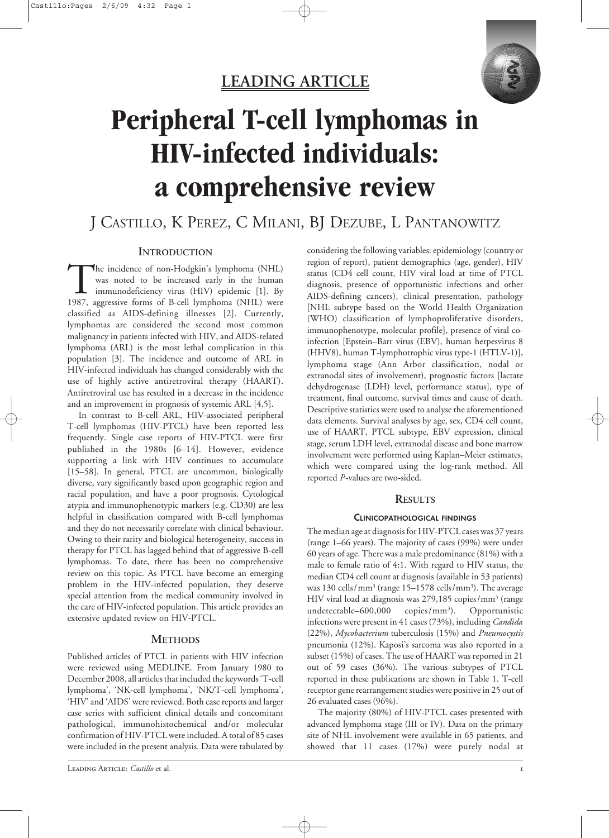

## **LEADING ARTICLE**

# **Peripheral T-cell lymphomas in HIV-infected individuals: a comprehensive review**

# J CASTILLO, K PEREZ, C MILANI, BJ DEZUBE, L PANTANOWITZ

## **INTRODUCTION**

The incidence of non-Hodgkin's lymphoma (NHL)<br>was noted to be increased early in the human<br>immunodeficiency virus (HIV) epidemic [1]. By<br>1987, aggressive forms of B-cell lymphoma (NHL) were was noted to be increased early in the human immunodeficiency virus (HIV) epidemic [1]. By 1987, aggressive forms of B-cell lymphoma (NHL) were classified as AIDS-defining illnesses [2]. Currently, lymphomas are considered the second most common malignancy in patients infected with HIV, and AIDS-related lymphoma (ARL) is the most lethal complication in this population [3]. The incidence and outcome of ARL in HIV-infected individuals has changed considerably with the use of highly active antiretroviral therapy (HAART). Antiretroviral use has resulted in a decrease in the incidence and an improvement in prognosis of systemic ARL [4,5].

In contrast to B-cell ARL, HIV-associated peripheral T-cell lymphomas (HIV-PTCL) have been reported less frequently. Single case reports of HIV-PTCL were first published in the 1980s [6–14]. However, evidence supporting a link with HIV continues to accumulate [15–58]. In general, PTCL are uncommon, biologically diverse, vary significantly based upon geographic region and racial population, and have a poor prognosis. Cytological atypia and immunophenotypic markers (e.g. CD30) are less helpful in classification compared with B-cell lymphomas and they do not necessarily correlate with clinical behaviour. Owing to their rarity and biological heterogeneity, success in therapy for PTCL has lagged behind that of aggressive B-cell lymphomas. To date, there has been no comprehensive review on this topic. As PTCL have become an emerging problem in the HIV-infected population, they deserve special attention from the medical community involved in the care of HIV-infected population. This article provides an extensive updated review on HIV-PTCL.

## **METHODS**

Published articles of PTCL in patients with HIV infection were reviewed using MEDLINE. From January 1980 to December 2008, all articles that included the keywords 'T-cell lymphoma', 'NK-cell lymphoma', 'NK/T-cell lymphoma', 'HIV' and 'AIDS' were reviewed. Both case reports and larger case series with sufficient clinical details and concomitant pathological, immunohistochemical and/or molecular confirmation of HIV-PTCL were included. A total of 85 cases were included in the present analysis. Data were tabulated by

considering the following variables: epidemiology (country or region of report), patient demographics (age, gender), HIV status (CD4 cell count, HIV viral load at time of PTCL diagnosis, presence of opportunistic infections and other AIDS-defining cancers), clinical presentation, pathology [NHL subtype based on the World Health Organization (WHO) classification of lymphoproliferative disorders, immunophenotype, molecular profile], presence of viral coinfection [Epstein–Barr virus (EBV), human herpesvirus 8 (HHV8), human T-lymphotrophic virus type-1 (HTLV-1)], lymphoma stage (Ann Arbor classification, nodal or extranodal sites of involvement), prognostic factors [lactate dehydrogenase (LDH) level, performance status], type of treatment, final outcome, survival times and cause of death. Descriptive statistics were used to analyse the aforementioned data elements. Survival analyses by age, sex, CD4 cell count, use of HAART, PTCL subtype, EBV expression, clinical stage, serum LDH level, extranodal disease and bone marrow involvement were performed using Kaplan–Meier estimates, which were compared using the log-rank method. All reported *P*-values are two-sided.

## **RESULTS**

## **CLINICOPATHOLOGICAL FINDINGS**

The median age at diagnosis for HIV-PTCL cases was 37 years (range 1–66 years). The majority of cases (99%) were under 60 years of age. There was a male predominance(81%) with a male to female ratio of 4:1. With regard to HIV status, the median CD4 cell count at diagnosis (available in 53 patients) was 130 cells/mm<sup>3</sup> (range 15–1578 cells/mm<sup>3</sup>). The average HIV viral load at diagnosis was  $279,185$  copies/mm<sup>3</sup> (range undetectable–600,000 copies/mm<sup>3</sup>). ). Opportunistic infections were present in 41 cases (73%), including *Candida* (22%), *Mycobacterium* tuberculosis (15%) and *Pneumocystis* pneumonia (12%). Kaposi's sarcoma was also reported in a subset (15%) of cases. The use of HAART was reported in 21 out of 59 cases (36%). The various subtypes of PTCL reported in these publications are shown in Table 1. T-cell receptor gene rearrangement studies were positive in 25 out of 26 evaluated cases (96%).

The majority (80%) of HIV-PTCL cases presented with advanced lymphoma stage (III or IV). Data on the primary site of NHL involvement were available in 65 patients, and showed that 11 cases (17%) were purely nodal at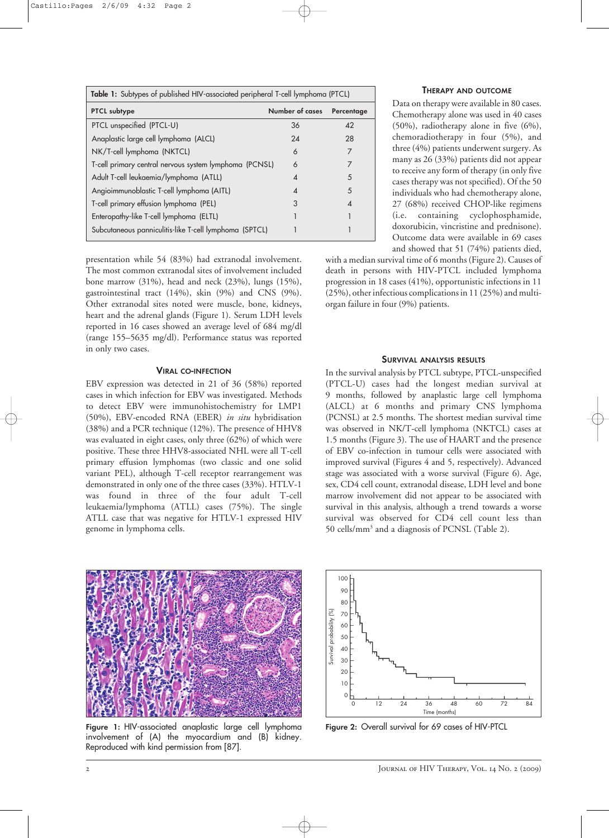| Table 1: Subtypes of published HIV-associated peripheral T-cell lymphoma (PTCL) |                        |            |  |  |
|---------------------------------------------------------------------------------|------------------------|------------|--|--|
| <b>PTCL</b> subtype                                                             | Number of cases        | Percentage |  |  |
| PTCL unspecified (PTCL-U)                                                       | 36                     | 42         |  |  |
| Anaplastic large cell lymphoma (ALCL)                                           | 24                     | 28         |  |  |
| NK/T-cell lymphoma (NKTCL)                                                      | 6                      | 7          |  |  |
| T-cell primary central nervous system lymphoma (PCNSL)                          | 6                      | 7          |  |  |
| Adult T-cell leukaemia/lymphoma (ATLL)                                          | $\overline{A}$         | 5          |  |  |
| Angioimmunoblastic T-cell lymphoma (AITL)                                       | $\boldsymbol{\Lambda}$ | 5          |  |  |
| T-cell primary effusion lymphoma (PEL)                                          | 3                      | ⊿          |  |  |
| Enteropathy-like T-cell lymphoma (ELTL)                                         |                        |            |  |  |
| Subcutaneous panniculitis-like T-cell lymphoma (SPTCL)                          |                        |            |  |  |

presentation while 54 (83%) had extranodal involvement. The most common extranodal sites of involvement included bone marrow (31%), head and neck (23%), lungs (15%), gastrointestinal tract (14%), skin (9%) and CNS (9%). Other extranodal sites noted were muscle, bone, kidneys, heart and the adrenal glands (Figure 1). Serum LDH levels reported in 16 cases showed an average level of 684 mg/dl (range 155–5635 mg/dl). Performance status was reported in only two cases.

## **VIRAL CO-INFECTION**

EBV expression was detected in 21 of 36 (58%) reported cases in which infection for EBV was investigated. Methods to detect EBV were immunohistochemistry for LMP1 (50%), EBV-encoded RNA (EBER) *in situ* hybridisation (38%) and a PCR technique (12%). The presence of HHV8 was evaluated in eight cases, only three (62%) of which were positive. These three HHV8-associated NHL were all T-cell primary effusion lymphomas (two classic and one solid variant PEL), although T-cell receptor rearrangement was demonstrated in only one of the three cases (33%). HTLV-1 was found in three of the four adult T-cell leukaemia/lymphoma (ATLL) cases (75%). The single ATLL case that was negative for HTLV-1 expressed HIV genome in lymphoma cells.

## **THERAPY AND OUTCOME**

Data on therapy were available in 80 cases. Chemotherapy alone was used in 40 cases (50%), radiotherapy alone in five (6%), chemoradiotherapy in four (5%), and three(4%) patients underwent surgery. As many as 26 (33%) patients did not appear to receive any form of therapy (in only five cases therapy was not specified). Of the 50 individuals who had chemotherapy alone, 27 (68%) received CHOP-like regimens (i.e. containing cyclophosphamide, doxorubicin, vincristine and prednisone). Outcome data were available in 69 cases and showed that 51 (74%) patients died,

with a median survival time of 6 months (Figure 2). Causes of death in persons with HIV-PTCL included lymphoma progression in 18 cases (41%), opportunistic infections in 11  $(25%)$ , other infectious complications in 11  $(25%)$  and multiorgan failure in four (9%) patients.

## **SURVIVAL ANALYSIS RESULTS**

In the survival analysis by PTCL subtype, PTCL-unspecified (PTCL-U) cases had the longest median survival at 9 months, followed by anaplastic large cell lymphoma (ALCL) at 6 months and primary CNS lymphoma (PCNSL) at 2.5 months. The shortest median survival time was observed in NK/T-cell lymphoma (NKTCL) cases at 1.5 months (Figure 3). The use of HAART and the presence of EBV co-infection in tumour cells were associated with improved survival (Figures 4 and 5, respectively). Advanced stage was associated with a worse survival (Figure 6). Age, sex, CD4 cell count, extranodal disease, LDH level and bone marrow involvement did not appear to be associated with survival in this analysis, although a trend towards a worse survival was observed for CD4 cell count less than 50 cells/mm<sup>3</sup> and a diagnosis of PCNSL (Table 2).



**Figure 1:** HIV-associated anaplastic large cell lymphoma **Figure 2:** Overall survival for 69 cases of HIV-PTCL involvement of (A) the myocardium and (B) kidney. Reproduced with kind permission from [87].

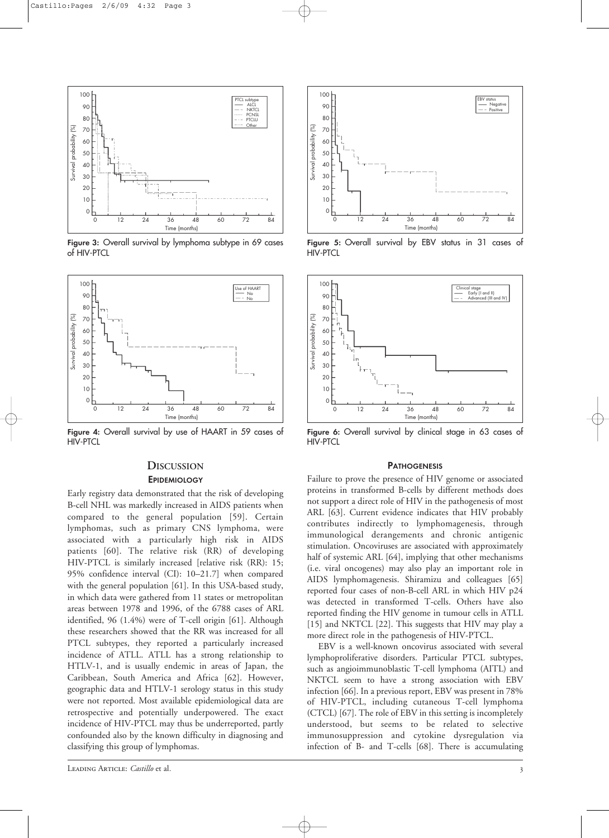

**Figure 3:** Overall survival by lymphoma subtype in 69 cases of HIV-PTCL



**Figure 4:** Overall survival by use of HAART in 59 cases of HIV-PTCL

## **DISCUSSION**

## **EPIDEMIOLOGY**

Early registry data demonstrated that the risk of developing B-cell NHL was markedly increased in AIDS patients when compared to the general population [59]. Certain lymphomas, such as primary CNS lymphoma, were associated with a particularly high risk in AIDS patients [60]. The relative risk (RR) of developing HIV-PTCL is similarly increased [relative risk (RR): 15; 95% confidence interval (CI): 10–21.7] when compared with the general population [61]. In this USA-based study, in which data were gathered from 11 states or metropolitan areas between 1978 and 1996, of the 6788 cases of ARL identified, 96 (1.4%) were of T-cell origin [61]. Although these researchers showed that the RR was increased for all PTCL subtypes, they reported a particularly increased incidence of ATLL. ATLL has a strong relationship to HTLV-1, and is usually endemic in areas of Japan, the Caribbean, South America and Africa [62]. However, geographic data and HTLV-1 serology status in this study were not reported. Most available epidemiological data are retrospective and potentially underpowered. The exact incidence of HIV-PTCL may thus be underreported, partly confounded also by the known difficulty in diagnosing and classifying this group of lymphomas.



**Figure 5:** Overall survival by EBV status in 31 cases of HIV-PTCL



**Figure 6:** Overall survival by clinical stage in 63 cases of HIV-PTCL

## **PATHOGENESIS**

Failure to prove the presence of HIV genome or associated proteins in transformed B-cells by different methods does not support a direct role of HIV in the pathogenesis of most ARL [63]. Current evidence indicates that HIV probably contributes indirectly to lymphomagenesis, through immunological derangements and chronic antigenic stimulation. Oncoviruses are associated with approximately half of systemic ARL [64], implying that other mechanisms (i.e. viral oncogenes) may also play an important role in AIDS lymphomagenesis. Shiramizu and colleagues [65] reported four cases of non-B-cell ARL in which HIV p24 was detected in transformed T-cells. Others have also reported finding the HIV genome in tumour cells in ATLL [15] and NKTCL [22]. This suggests that HIV may play a more direct role in the pathogenesis of HIV-PTCL.

EBV is a well-known oncovirus associated with several lymphoproliferative disorders. Particular PTCL subtypes, such as angioimmunoblastic T-cell lymphoma (AITL) and NKTCL seem to have a strong association with EBV infection [66]. In a previous report, EBV was present in 78% of HIV-PTCL, including cutaneous T-cell lymphoma (CTCL) [67]. The role of EBV in this setting is incompletely understood, but seems to be related to selective immunosuppression and cytokine dysregulation via infection of B- and T-cells [68]. There is accumulating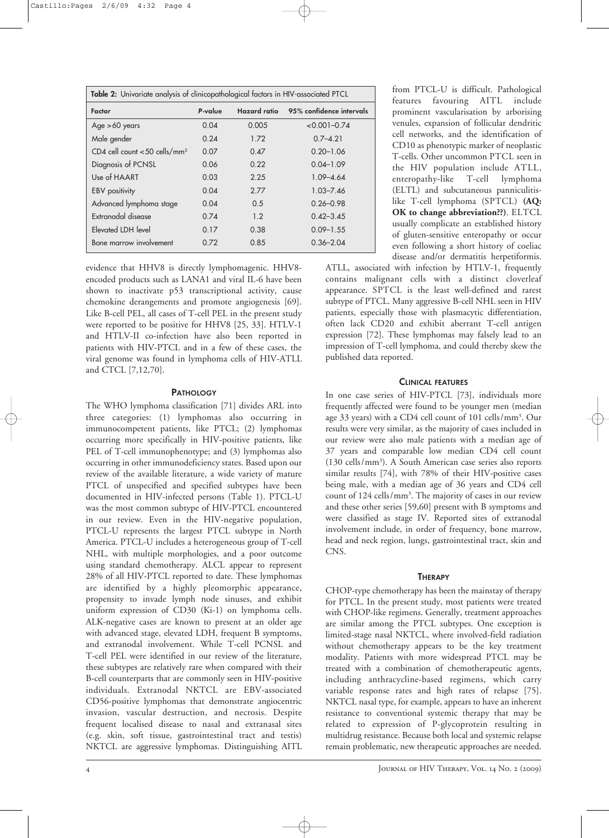| Table 2: Univariate analysis of clinicopathological factors in HIV-associated PTCL |         |              |                          |  |
|------------------------------------------------------------------------------------|---------|--------------|--------------------------|--|
| Factor                                                                             | P-value | Hazard ratio | 95% confidence intervals |  |
| Age $>60$ years                                                                    | 0.04    | 0.005        | $< 0.001 - 0.74$         |  |
| Male gender                                                                        | 0.24    | 1.72         | $0.7 - 4.21$             |  |
| CD4 cell count $<$ 50 cells/mm <sup>3</sup>                                        | 0.07    | 0.47         | $0.20 - 1.06$            |  |
| Diagnosis of PCNSL                                                                 | 0.06    | 0.22         | $0.04 - 1.09$            |  |
| Use of HAART                                                                       | 0.03    | 2.25         | $1.09 - 4.64$            |  |
| <b>EBV</b> positivity                                                              | 0.04    | 2.77         | $1.03 - 7.46$            |  |
| Advanced lymphoma stage                                                            | 0.04    | 0.5          | $0.26 - 0.98$            |  |
| Extranodal disease                                                                 | 0.74    | 1.2          | $0.42 - 3.45$            |  |
| Elevated LDH level                                                                 | 0.17    | 0.38         | $0.09 - 1.55$            |  |
| Bone marrow involvement                                                            | 0.72    | 0.85         | $0.36 - 2.04$            |  |

evidence that HHV8 is directly lymphomagenic. HHV8 encoded products such as LANA1 and viral IL-6 have been shown to inactivate p53 transcriptional activity, cause chemokine derangements and promote angiogenesis [69]. Like B-cell PEL, all cases of T-cell PEL in the present study were reported to be positive for HHV8 [25, 33]. HTLV-1 and HTLV-II co-infection have also been reported in patients with HIV-PTCL and in a few of these cases, the viral genome was found in lymphoma cells of HIV-ATLL and CTCL [7,12,70].

## **PATHOLOGY**

The WHO lymphoma classification [71] divides ARL into three categories: (1) lymphomas also occurring in immunocompetent patients, like PTCL; (2) lymphomas occurring more specifically in HIV-positive patients, like PEL of T-cell immunophenotype; and (3) lymphomas also occurring in other immunodeficiency states. Based upon our review of the available literature, a wide variety of mature PTCL of unspecified and specified subtypes have been documented in HIV-infected persons (Table 1). PTCL-U was the most common subtype of HIV-PTCL encountered in our review. Even in the HIV-negative population, PTCL-U represents the largest PTCL subtype in North America. PTCL-U includes a heterogeneous group of T-cell NHL, with multiple morphologies, and a poor outcome using standard chemotherapy. ALCL appear to represent 28% of all HIV-PTCL reported to date. These lymphomas are identified by a highly pleomorphic appearance, propensity to invade lymph node sinuses, and exhibit uniform expression of CD30 (Ki-1) on lymphoma cells. ALK-negative cases are known to present at an older age with advanced stage, elevated LDH, frequent B symptoms, and extranodal involvement. While T-cell PCNSL and T-cell PEL were identified in our review of the literature, these subtypes are relatively rare when compared with their B-cell counterparts that are commonly seen in HIV-positive individuals. Extranodal NKTCL are EBV-associated CD56-positive lymphomas that demonstrate angiocentric invasion, vascular destruction, and necrosis. Despite frequent localised disease to nasal and extranasal sites (e.g. skin, soft tissue, gastrointestinal tract and testis) NKTCL are aggressive lymphomas. Distinguishing AITL from PTCL-U is difficult. Pathological features favouring AITL include prominent vascularisation by arborising venules, expansion of follicular dendritic cell networks, and the identification of CD10 as phenotypic marker of neoplastic T-cells. Other uncommon PTCL seen in the HIV population include ATLL, enteropathy-like T-cell lymphoma (ELTL) and subcutaneous panniculitislike T-cell lymphoma (SPTCL) **(AQ: OK to change abbreviation??)**. ELTCL usually complicate an established history of gluten-sensitive enteropathy or occur even following a short history of coeliac disease and/or dermatitis herpetiformis.

ATLL, associated with infection by HTLV-1, frequently contains malignant cells with a distinct cloverleaf appearance. SPTCL is the least well-defined and rarest subtype of PTCL. Many aggressive B-cell NHL seen in HIV patients, especially those with plasmacytic differentiation, often lack CD20 and exhibit aberrant T-cell antigen expression [72]. These lymphomas may falsely lead to an impression of T-cell lymphoma, and could thereby skew the published data reported.

## **CLINICAL FEATURES**

In one case series of HIV-PTCL [73], individuals more frequently affected were found to be younger men (median age 33 years) with a CD4 cell count of 101 cells/mm3 . Our results were very similar, as the majority of cases included in our review were also male patients with a median age of 37 years and comparable low median CD4 cell count (130 cells/mm<sup>3</sup>). A South American case series also reports similar results [74], with 78% of their HIV-positive cases being male, with a median age of 36 years and CD4 cell count of 124 cells/mm3 . The majority of cases in our review and these other series [59,60] present with B symptoms and were classified as stage IV. Reported sites of extranodal involvement include, in order of frequency, bone marrow, head and neck region, lungs, gastrointestinal tract, skin and CNS.

#### **THERAPY**

CHOP-type chemotherapy has been the mainstay of therapy for PTCL. In the present study, most patients were treated with CHOP-like regimens. Generally, treatment approaches are similar among the PTCL subtypes. One exception is limited-stage nasal NKTCL, where involved-field radiation without chemotherapy appears to be the key treatment modality. Patients with more widespread PTCL may be treated with a combination of chemotherapeutic agents, including anthracycline-based regimens, which carry variable response rates and high rates of relapse [75]. NKTCL nasal type, for example, appears to have an inherent resistance to conventional systemic therapy that may be related to expression of P-glycoprotein resulting in multidrug resistance. Because both local and systemic relapse remain problematic, new therapeutic approaches are needed.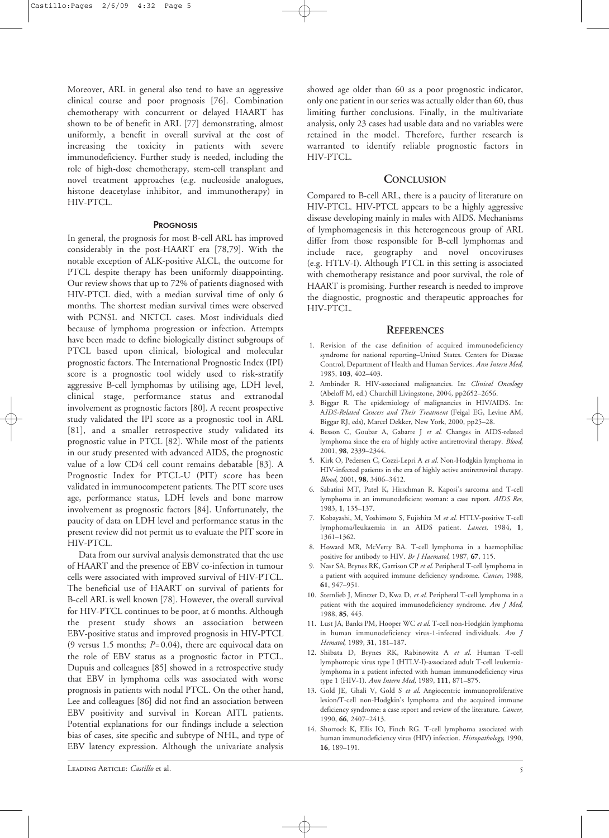Moreover, ARL in general also tend to have an aggressive clinical course and poor prognosis [76]. Combination chemotherapy with concurrent or delayed HAART has shown to be of benefit in ARL [77] demonstrating, almost uniformly, a benefit in overall survival at the cost of increasing the toxicity in patients with severe immunodeficiency. Further study is needed, including the role of high-dose chemotherapy, stem-cell transplant and novel treatment approaches (e.g. nucleoside analogues, histone deacetylase inhibitor, and immunotherapy) in HIV-PTCL.

## **PROGNOSIS**

In general, the prognosis for most B-cell ARL has improved considerably in the post-HAART era [78,79]. With the notable exception of ALK-positive ALCL, the outcome for PTCL despite therapy has been uniformly disappointing. Our review shows that up to 72% of patients diagnosed with HIV-PTCL died, with a median survival time of only 6 months. The shortest median survival times were observed with PCNSL and NKTCL cases. Most individuals died because of lymphoma progression or infection. Attempts have been made to define biologically distinct subgroups of PTCL based upon clinical, biological and molecular prognostic factors. The International Prognostic Index (IPI) score is a prognostic tool widely used to risk-stratify aggressive B-cell lymphomas by utilising age, LDH level, clinical stage, performance status and extranodal involvement as prognostic factors [80]. A recent prospective study validated the IPI score as a prognostic tool in ARL [81], and a smaller retrospective study validated its prognostic value in PTCL [82]. While most of the patients in our study presented with advanced AIDS, the prognostic value of a low CD4 cell count remains debatable [83]. A Prognostic Index for PTCL-U (PIT) score has been validated in immunocompetent patients. The PIT score uses age, performance status, LDH levels and bone marrow involvement as prognostic factors [84]. Unfortunately, the paucity of data on LDH level and performance status in the present review did not permit us to evaluate the PIT score in HIV-PTCL.

Data from our survival analysis demonstrated that the use of HAART and the presence of EBV co-infection in tumour cells were associated with improved survival of HIV-PTCL. The beneficial use of HAART on survival of patients for B-cell ARL is well known [78]. However, the overall survival for HIV-PTCL continues to be poor, at 6 months. Although the present study shows an association between EBV-positive status and improved prognosis in HIV-PTCL (9 versus 1.5 months; *P*=0.04), there are equivocal data on the role of EBV status as a prognostic factor in PTCL. Dupuis and colleagues [85] showed in a retrospective study that EBV in lymphoma cells was associated with worse prognosis in patients with nodal PTCL. On the other hand, Lee and colleagues [86] did not find an association between EBV positivity and survival in Korean AITL patients. Potential explanations for our findings include a selection bias of cases, site specific and subtype of NHL, and type of EBV latency expression. Although the univariate analysis showed age older than 60 as a poor prognostic indicator, only one patient in our series was actually older than 60, thus limiting further conclusions. Finally, in the multivariate analysis, only 23 cases had usable data and no variables were retained in the model. Therefore, further research is warranted to identify reliable prognostic factors in HIV-PTCL.

## **CONCLUSION**

Compared to B-cell ARL, there is a paucity of literature on HIV-PTCL. HIV-PTCL appears to be a highly aggressive disease developing mainly in males with AIDS. Mechanisms of lymphomagenesis in this heterogeneous group of ARL differ from those responsible for B-cell lymphomas and include race, geography and novel oncoviruses (e.g. HTLV-I). Although PTCL in this setting is associated with chemotherapy resistance and poor survival, the role of HAART is promising. Further research is needed to improve the diagnostic, prognostic and therapeutic approaches for HIV-PTCL.

## **REFERENCES**

- 1. Revision of the case definition of acquired immunodeficiency syndrome for national reporting–United States. Centers for Disease Control, Department of Health and Human Services. *Ann Intern Med*, 1985, **103**, 402–403.
- 2. Ambinder R. HIV-associated malignancies. In: *Clinical Oncology* (Abeloff M, ed.) Churchill Livingstone, 2004, pp2652–2656.
- 3. Biggar R. The epidemiology of malignancies in HIV/AIDS. In: A*IDS-Related Cancers and Their Treatment* (Feigal EG, Levine AM, Biggar RJ, eds), Marcel Dekker, New York, 2000, pp25–28.
- 4. Besson C, Goubar A, Gabarre J *et al*. Changes in AIDS-related lymphoma since the era of highly active antiretroviral therapy. *Blood*, 2001, **98**, 2339–2344.
- 5. Kirk O, Pedersen C, Cozzi-Lepri A *et al*. Non-Hodgkin lymphoma in HIV-infected patients in the era of highly active antiretroviral therapy. *Blood*, 2001, **98**, 3406–3412.
- 6. Sabatini MT, Patel K, Hirschman R. Kaposi's sarcoma and T-cell lymphoma in an immunodeficient woman: a case report. *AIDS Res*, 1983, **1**, 135–137.
- 7. Kobayashi, M, Yoshimoto S, Fujishita M *et al*. HTLV-positive T-cell lymphoma/leukaemia in an AIDS patient. *Lancet*, 1984, **1**, 1361–1362.
- 8. Howard MR, McVerry BA. T-cell lymphoma in a haemophiliac positive for antibody to HIV. *Br J Haematol*, 1987, **67**, 115.
- 9. Nasr SA, Brynes RK, Garrison CP *et al*. Peripheral T-cell lymphoma in a patient with acquired immune deficiency syndrome. *Cancer*, 1988, **61**, 947–951.
- 10. Sternlieb J, Mintzer D, Kwa D, *et al*. Peripheral T-cell lymphoma in a patient with the acquired immunodeficiency syndrome. *Am J Med*, 1988, **85**, 445.
- 11. Lust JA, Banks PM, Hooper WC *et al*. T-cell non-Hodgkin lymphoma in human immunodeficiency virus-1-infected individuals. *Am J Hematol*, 1989, **31**, 181–187.
- 12. Shibata D, Brynes RK, Rabinowitz A *et al*. Human T-cell lymphotropic virus type I (HTLV-I)-associated adult T-cell leukemialymphoma in a patient infected with human immunodeficiency virus type 1 (HIV-1). *Ann Intern Med*, 1989, **111**, 871–875.
- 13. Gold JE, Ghali V, Gold S *et al*. Angiocentric immunoproliferative lesion/T-cell non-Hodgkin's lymphoma and the acquired immune deficiency syndrome: a case report and review of the literature. *Cancer*, 1990, **66**, 2407–2413.
- 14. Shorrock K, Ellis IO, Finch RG. T-cell lymphoma associated with human immunodeficiency virus (HIV) infection. *Histopathology,* 1990, **16**, 189–191.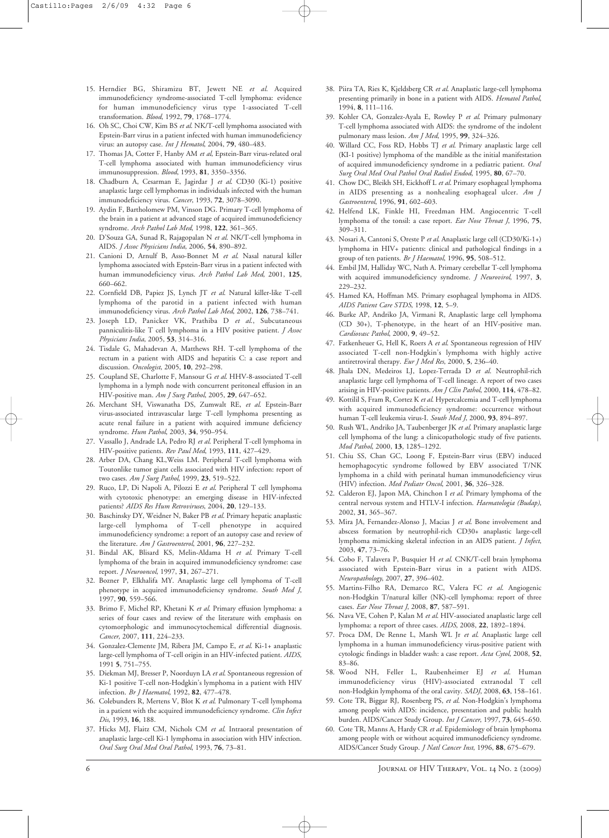- 15. Herndier BG, Shiramizu BT, Jewett NE *et al*. Acquired immunodeficiency syndrome-associated T-cell lymphoma: evidence for human immunodeficiency virus type 1-associated T-cell transformation. *Blood*, 1992, **79**, 1768–1774.
- 16. Oh SC, Choi CW, Kim BS *et al*. NK/T-cell lymphoma associated with Epstein-Barr virus in a patient infected with human immunodeficiency virus: an autopsy case. *Int J Hematol*, 2004, **79**, 480–483.
- 17. Thomas JA, Cotter F, Hanby AM *et al*, Epstein-Barr virus-related oral T-cell lymphoma associated with human immunodeficiency virus immunosuppression. *Blood*, 1993, **81**, 3350–3356.
- 18. Chadburn A, Cesarman E, Jagirdar J *et al*. CD30 (Ki-1) positive anaplastic large cell lymphomas in individuals infected with the human immunodeficiency virus. *Cancer*, 1993, **72**, 3078–3090.
- 19. Aydin F, Bartholomew PM, Vinson DG. Primary T-cell lymphoma of the brain in a patient at advanced stage of acquired immunodeficiency syndrome. *Arch Pathol Lab Med*, 1998, **122**, 361–365.
- 20. D'Souza GA, Sunad R, Rajagopalan N *et al*. NK/T-cell lymphoma in AIDS. *J Assoc Physicians India*, 2006, **54**, 890–892.
- 21. Canioni D, Arnulf B, Asso-Bonnet M *et al*. Nasal natural killer lymphoma associated with Epstein-Barr virus in a patient infected with human immunodeficiency virus. *Arch Pathol Lab Med*, 2001, **125**, 660–662.
- 22. Cornfield DB, Papiez JS, Lynch JT *et al*. Natural killer-like T-cell lymphoma of the parotid in a patient infected with human immunodeficiency virus. *Arch Pathol Lab Med*, 2002, **126**, 738–741.
- 23. Joseph LD, Panicker VK, Prathiba D *et al*., Subcutaneous panniculitis-like T cell lymphoma in a HIV positive patient. *J Assoc Physicians India*, 2005, **53**, 314–316.
- 24. Tisdale G, Mahadevan A, Matthews RH. T-cell lymphoma of the rectum in a patient with AIDS and hepatitis C: a case report and discussion. *Oncologist*, 2005, **10**, 292–298.
- 25. Coupland SE, Charlotte F, Mansour G *et al*. HHV-8-associated T-cell lymphoma in a lymph node with concurrent peritoneal effusion in an HIV-positive man. *Am J Surg Pathol*, 2005, **29**, 647–652.
- 26. Merchant SH, Viswanatha DS, Zumwalt RE, *et al*. Epstein-Barr virus-associated intravascular large T-cell lymphoma presenting as acute renal failure in a patient with acquired immune deficiency syndrome. *Hum Pathol*, 2003, **34**, 950–954.
- 27. Vassallo J, Andrade LA, Pedro RJ *et al*. Peripheral T-cell lymphoma in HIV-positive patients. *Rev Paul Med*, 1993, **111**, 427–429.
- 28. Arber DA, Chang KL,Weiss LM. Peripheral T-cell lymphoma with Toutonlike tumor giant cells associated with HIV infection: report of two cases. *Am J Surg Pathol*, 1999, **23**, 519–522.
- 29. Ruco, LP, Di Napoli A, Pilozzi E *et al*. Peripheral T cell lymphoma with cytotoxic phenotype: an emerging disease in HIV-infected patients? *AIDS Res Hum Retroviruses*, 2004, **20**, 129–133.
- 30. Baschinsky DY, Weidner N, Baker PB *et al*. Primary hepatic anaplastic large-cell lymphoma of T-cell phenotype in acquired immunodeficiency syndrome: a report of an autopsy case and review of the literature. *Am J Gastroenterol*, 2001, **96**, 227–232.
- 31. Bindal AK, Blisard KS, Melin-Aldama H *et al*. Primary T-cell lymphoma of the brain in acquired immunodeficiency syndrome: case report. *J Neurooncol*, 1997, **31**, 267–271.
- 32. Bozner P, Elkhalifa MY. Anaplastic large cell lymphoma of T-cell phenotype in acquired immunodeficiency syndrome. *South Med J*, 1997, **90**, 559–566.
- 33. Brimo F, Michel RP, Khetani K *et al*. Primary effusion lymphoma: a series of four cases and review of the literature with emphasis on cytomorphologic and immunocytochemical differential diagnosis. *Cancer*, 2007, **111**, 224–233.
- 34. Gonzalez-Clemente JM, Ribera JM, Campo E, *et al*. Ki-1+ anaplastic large-cell lymphoma of T-cell origin in an HIV-infected patient. *AIDS,* 1991 **5**, 751–755.
- 35. Diekman MJ, Bresser P, Noorduyn LA *et al*. Spontaneous regression of Ki-1 positive T-cell non-Hodgkin's lymphoma in a patient with HIV infection. *Br J Haematol*, 1992, **82**, 477–478.
- 36. Colebunders R, Mertens V, Blot K *et al*. Pulmonary T-cell lymphoma in a patient with the acquired immunodeficiency syndrome. *Clin Infect Dis*, 1993, **16**, 188.
- 37. Hicks MJ, Flaitz CM, Nichols CM *et al*. Intraoral presentation of anaplastic large-cell Ki-1 lymphoma in association with HIV infection. *Oral Surg Oral Med Oral Pathol*, 1993, **76**, 73–81.
- 38. Piira TA, Ries K, Kjeldsberg CR *et al*. Anaplastic large-cell lymphoma presenting primarily in bone in a patient with AIDS. *Hematol Pathol*, 1994, **8**, 111–116.
- 39. Kohler CA, Gonzalez-Ayala E, Rowley P *et al*. Primary pulmonary T-cell lymphoma associated with AIDS: the syndrome of the indolent pulmonary mass lesion. *Am J Med*, 1995, **99**, 324–326.
- 40. Willard CC, Foss RD, Hobbs TJ *et al*. Primary anaplastic large cell (KI-1 positive) lymphoma of the mandible as the initial manifestation of acquired immunodeficiency syndrome in a pediatric patient. *Oral Surg Oral Med Oral Pathol Oral Radiol Endod*, 1995, **80**, 67–70.
- 41. Chow DC, Bleikh SH, Eickhoff L *et al*. Primary esophageal lymphoma in AIDS presenting as a nonhealing esophageal ulcer. *Am J Gastroenterol*, 1996, **91**, 602–603.
- 42. Helfend LK, Finkle HI, Freedman HM. Angiocentric T-cell lymphoma of the tonsil: a case report. *Ear Nose Throat J*, 1996, **75**, 309–311.
- 43. Nosari A, Cantoni S, Oreste P *et al*. Anaplastic large cell (CD30/Ki-1+) lymphoma in HIV+ patients: clinical and pathological findings in a group of ten patients. *Br J Haematol*, 1996, **95**, 508–512.
- 44. Embil JM, Halliday WC, Nath A. Primary cerebellar T-cell lymphoma with acquired immunodeficiency syndrome. *J Neurovirol*, 1997, **3**, 229–232.
- 45. Hamed KA, Hoffman MS. Primary esophageal lymphoma in AIDS. *AIDS Patient Care STDS*, 1998, **12**, 5–9.
- 46. Burke AP, Andriko JA, Virmani R, Anaplastic large cell lymphoma (CD 30+), T-phenotype, in the heart of an HIV-positive man. *Cardiovasc Pathol*, 2000, **9**, 49–52.
- 47. Fatkenheuer G, Hell K, Roers A *et al*. Spontaneous regression of HIV associated T-cell non-Hodgkin's lymphoma with highly active antiretroviral therapy. *Eur J Med Res*, 2000, **5**, 236–40.
- 48. Jhala DN, Medeiros LJ, Lopez-Terrada D *et al*. Neutrophil-rich anaplastic large cell lymphoma of T-cell lineage. A report of two cases arising in HIV-positive patients. *Am J Clin Pathol*, 2000, **114**, 478–82.
- 49. Kottilil S, Fram R, Cortez K *et al*. Hypercalcemia and T-cell lymphoma with acquired immunodeficiency syndrome: occurrence without human T-cell leukemia virus-I. *South Med J*, 2000, **93**, 894–897.
- 50. Rush WL, Andriko JA, Taubenberger JK *et al*. Primary anaplastic large cell lymphoma of the lung: a clinicopathologic study of five patients. *Mod Pathol*, 2000, **13**, 1285–1292.
- 51. Chiu SS, Chan GC, Loong F, Epstein-Barr virus (EBV) induced hemophagocytic syndrome followed by EBV associated T/NK lymphoma in a child with perinatal human immunodeficiency virus (HIV) infection. *Med Pediatr Oncol*, 2001, **36**, 326–328.
- 52. Calderon EJ, Japon MA, Chinchon I *et al*. Primary lymphoma of the central nervous system and HTLV-I infection. *Haematologia (Budap)*, 2002, **31**, 365–367.
- 53. Mira JA, Fernandez-Alonso J, Macias J *et al*. Bone involvement and abscess formation by neutrophil-rich CD30+ anaplastic large-cell lymphoma mimicking skeletal infection in an AIDS patient. *J Infect*, 2003, **47**, 73–76.
- 54. Cobo F, Talavera P, Busquier H *et al*. CNK/T-cell brain lymphoma associated with Epstein-Barr virus in a patient with AIDS. *Neuropathology*, 2007, **27**, 396–402.
- 55. Martins-Filho RA, Demarco RC, Valera FC *et al*. Angiogenic non-Hodgkin T/natural killer (NK)-cell lymphoma: report of three cases. *Ear Nose Throat J*, 2008, **87**, 587–591.
- 56. Nava VE, Cohen P, Kalan M *et al*. HIV-associated anaplastic large cell lymphoma: a report of three cases. *AIDS*, 2008, **22**, 1892–1894.
- 57. Proca DM, De Renne L, Marsh WL Jr *et al*. Anaplastic large cell lymphoma in a human immunodeficiency virus-positive patient with cytologic findings in bladder wash: a case report. *Acta Cytol*, 2008, **52**, 83–86.
- 58. Wood NH, Feller L, Raubenheimer EJ *et al*. Human immunodeficiency virus (HIV)-associated extranodal T cell non-Hodgkin lymphoma of the oral cavity. *SADJ*, 2008, **63**, 158–161.
- 59. Cote TR, Biggar RJ, Rosenberg PS, *et al*. Non-Hodgkin's lymphoma among people with AIDS: incidence, presentation and public health burden. AIDS/Cancer Study Group. *Int J Cancer*, 1997, **73**, 645–650.
- 60. Cote TR, Manns A, Hardy CR *et al*. Epidemiology of brain lymphoma among people with or without acquired immunodeficiency syndrome. AIDS/Cancer Study Group. *J Natl Cancer Inst*, 1996, **88**, 675–679.